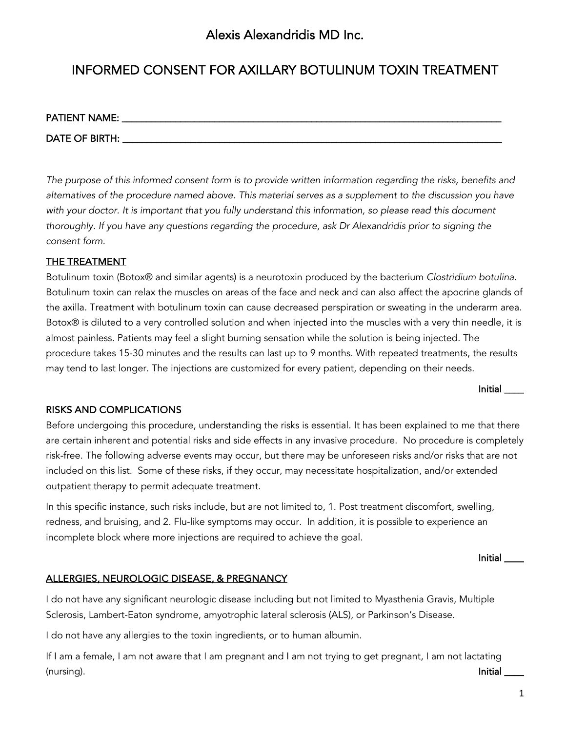## Alexis Alexandridis MD Inc.

# INFORMED CONSENT FOR AXILLARY BOTULINUM TOXIN TREATMENT

| PATIENT NAME:  |  |  |  |
|----------------|--|--|--|
| DATE OF BIRTH: |  |  |  |

*The purpose of this informed consent form is to provide written information regarding the risks, benefits and alternatives of the procedure named above. This material serves as a supplement to the discussion you have*  with your doctor. It is important that you fully understand this information, so please read this document *thoroughly. If you have any questions regarding the procedure, ask Dr Alexandridis prior to signing the consent form.*

#### THE TREATMENT

Botulinum toxin (Botox® and similar agents) is a neurotoxin produced by the bacterium *Clostridium botulina*. Botulinum toxin can relax the muscles on areas of the face and neck and can also affect the apocrine glands of the axilla. Treatment with botulinum toxin can cause decreased perspiration or sweating in the underarm area. Botox® is diluted to a very controlled solution and when injected into the muscles with a very thin needle, it is almost painless. Patients may feel a slight burning sensation while the solution is being injected. The procedure takes 15-30 minutes and the results can last up to 9 months. With repeated treatments, the results may tend to last longer. The injections are customized for every patient, depending on their needs.

Initial \_\_\_\_

### RISKS AND COMPLICATIONS

Before undergoing this procedure, understanding the risks is essential. It has been explained to me that there are certain inherent and potential risks and side effects in any invasive procedure. No procedure is completely risk-free. The following adverse events may occur, but there may be unforeseen risks and/or risks that are not included on this list. Some of these risks, if they occur, may necessitate hospitalization, and/or extended outpatient therapy to permit adequate treatment.

In this specific instance, such risks include, but are not limited to, 1. Post treatment discomfort, swelling, redness, and bruising, and 2. Flu-like symptoms may occur. In addition, it is possible to experience an incomplete block where more injections are required to achieve the goal.

Initial \_\_\_\_

#### ALLERGIES, NEUROLOGIC DISEASE, & PREGNANCY

I do not have any significant neurologic disease including but not limited to Myasthenia Gravis, Multiple Sclerosis, Lambert-Eaton syndrome, amyotrophic lateral sclerosis (ALS), or Parkinson's Disease.

I do not have any allergies to the toxin ingredients, or to human albumin.

If I am a female, I am not aware that I am pregnant and I am not trying to get pregnant, I am not lactating (nursing). Initial \_\_\_\_